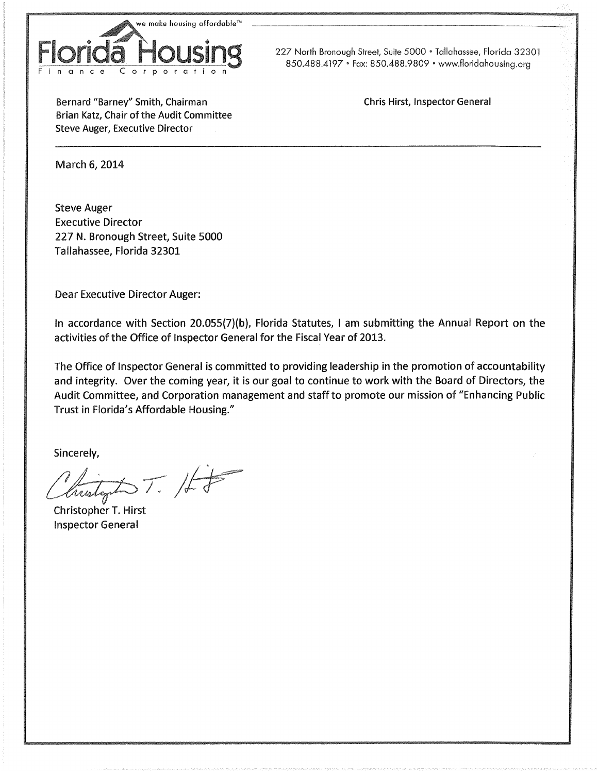

227 North Bronough Street, Suite 5000 • Tallahassee, Florida 32301 850.488.4197 • Fax: 850.488.9809 • www.floridahousing.org

Bernard "Barney" Smith, Chairman Brian Katz, Chair of the Audit Committee **Steve Auger, Executive Director** 

**Chris Hirst, Inspector General** 

March 6, 2014

**Steve Auger Executive Director** 227 N. Bronough Street, Suite 5000 Tallahassee, Florida 32301

**Dear Executive Director Auger:** 

In accordance with Section 20.055(7)(b), Florida Statutes, I am submitting the Annual Report on the activities of the Office of Inspector General for the Fiscal Year of 2013.

The Office of Inspector General is committed to providing leadership in the promotion of accountability and integrity. Over the coming year, it is our goal to continue to work with the Board of Directors, the Audit Committee, and Corporation management and staff to promote our mission of "Enhancing Public Trust in Florida's Affordable Housing."

Sincerely,

 $\Delta T.$  /ff

Christopher T. Hirst **Inspector General**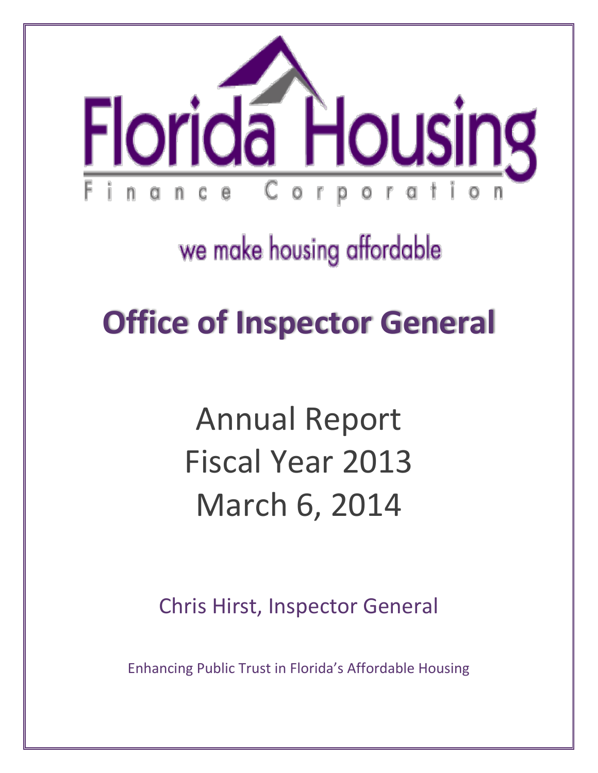

## we make housing affordable

## **Office of Inspector General**

# Annual Report Fiscal Year 2013 March 6, 2014

Chris Hirst, Inspector General

Enhancing Public Trust in Florida's Affordable Housing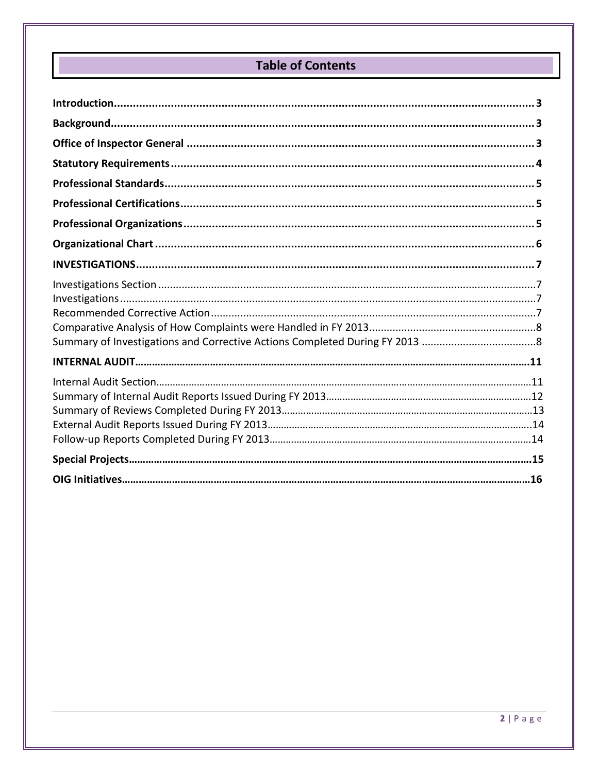## **Table of Contents**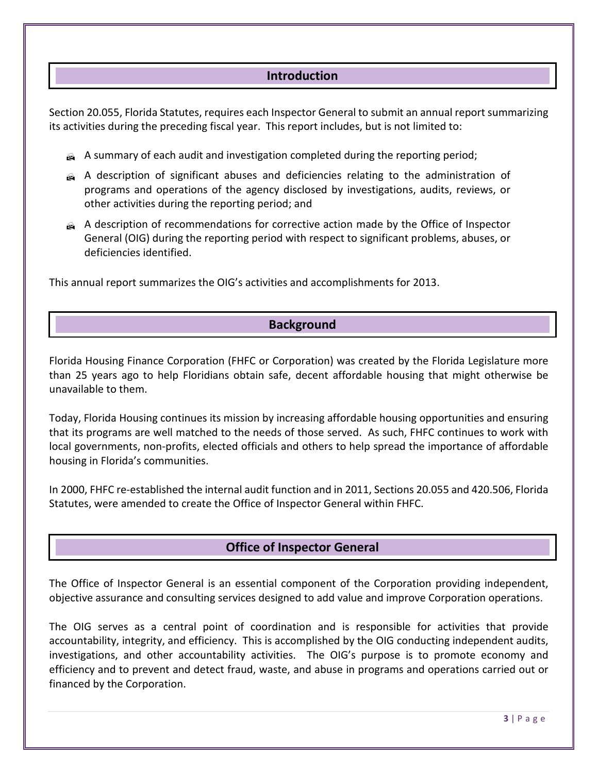## **Introduction**

Section 20.055, Florida Statutes, requires each Inspector General to submit an annual report summarizing its activities during the preceding fiscal year. This report includes, but is not limited to:

- A summary of each audit and investigation completed during the reporting period;
- A description of significant abuses and deficiencies relating to the administration of programs and operations of the agency disclosed by investigations, audits, reviews, or other activities during the reporting period; and
- A description of recommendations for corrective action made by the Office of Inspector General (OIG) during the reporting period with respect to significant problems, abuses, or deficiencies identified.

This annual report summarizes the OIG's activities and accomplishments for 2013.

## **Background**

Florida Housing Finance Corporation (FHFC or Corporation) was created by the Florida Legislature more than 25 years ago to help Floridians obtain safe, decent affordable housing that might otherwise be unavailable to them.

Today, Florida Housing continues its mission by increasing affordable housing opportunities and ensuring that its programs are well matched to the needs of those served. As such, FHFC continues to work with local governments, non-profits, elected officials and others to help spread the importance of affordable housing in Florida's communities.

In 2000, FHFC re-established the internal audit function and in 2011, Sections 20.055 and 420.506, Florida Statutes, were amended to create the Office of Inspector General within FHFC.

## **Office of Inspector General**

The Office of Inspector General is an essential component of the Corporation providing independent, objective assurance and consulting services designed to add value and improve Corporation operations.

The OIG serves as a central point of coordination and is responsible for activities that provide accountability, integrity, and efficiency. This is accomplished by the OIG conducting independent audits, investigations, and other accountability activities. The OIG's purpose is to promote economy and efficiency and to prevent and detect fraud, waste, and abuse in programs and operations carried out or financed by the Corporation.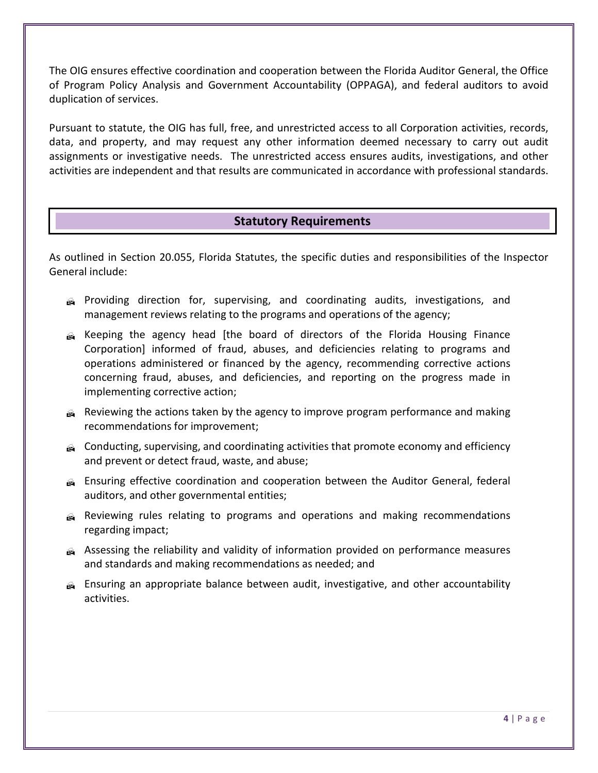The OIG ensures effective coordination and cooperation between the Florida Auditor General, the Office of Program Policy Analysis and Government Accountability (OPPAGA), and federal auditors to avoid duplication of services.

Pursuant to statute, the OIG has full, free, and unrestricted access to all Corporation activities, records, data, and property, and may request any other information deemed necessary to carry out audit assignments or investigative needs. The unrestricted access ensures audits, investigations, and other activities are independent and that results are communicated in accordance with professional standards.

## **Statutory Requirements**

As outlined in Section 20.055, Florida Statutes, the specific duties and responsibilities of the Inspector General include:

- Providing direction for, supervising, and coordinating audits, investigations, and management reviews relating to the programs and operations of the agency;
- Keeping the agency head [the board of directors of the Florida Housing Finance Corporation] informed of fraud, abuses, and deficiencies relating to programs and operations administered or financed by the agency, recommending corrective actions concerning fraud, abuses, and deficiencies, and reporting on the progress made in implementing corrective action;
- Reviewing the actions taken by the agency to improve program performance and making recommendations for improvement;
- Conducting, supervising, and coordinating activities that promote economy and efficiency and prevent or detect fraud, waste, and abuse;
- Ensuring effective coordination and cooperation between the Auditor General, federal auditors, and other governmental entities;
- Reviewing rules relating to programs and operations and making recommendations regarding impact;
- Assessing the reliability and validity of information provided on performance measures and standards and making recommendations as needed; and
- Ensuring an appropriate balance between audit, investigative, and other accountability activities.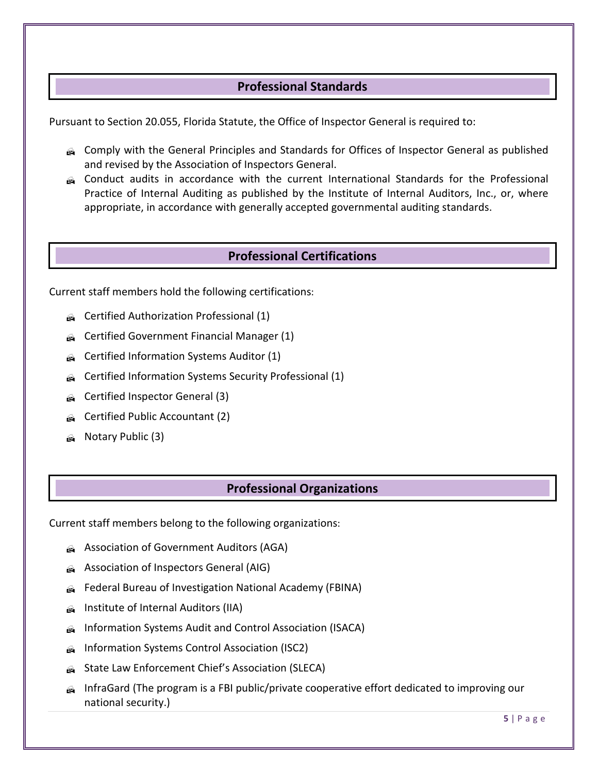## **Professional Standards**

Pursuant to Section 20.055, Florida Statute, the Office of Inspector General is required to:

- Comply with the General Principles and Standards for Offices of Inspector General as published and revised by the Association of Inspectors General.
- Conduct audits in accordance with the current International Standards for the Professional Practice of Internal Auditing as published by the Institute of Internal Auditors, Inc., or, where appropriate, in accordance with generally accepted governmental auditing standards.

### **Professional Certifications**

Current staff members hold the following certifications:

- Gertified Authorization Professional (1)
- **Certified Government Financial Manager (1)**
- G Certified Information Systems Auditor (1)
- Certified Information Systems Security Professional (1)
- Gertified Inspector General (3)
- G Certified Public Accountant (2)
- **A** Notary Public (3)

## **Professional Organizations**

Current staff members belong to the following organizations:

- Association of Government Auditors (AGA)
- Association of Inspectors General (AIG)
- Federal Bureau of Investigation National Academy (FBINA)
- **A** Institute of Internal Auditors (IIA)
- Information Systems Audit and Control Association (ISACA)
- Information Systems Control Association (ISC2)
- **State Law Enforcement Chief's Association (SLECA)**
- InfraGard (The program is a FBI public/private cooperative effort dedicated to improving our national security.)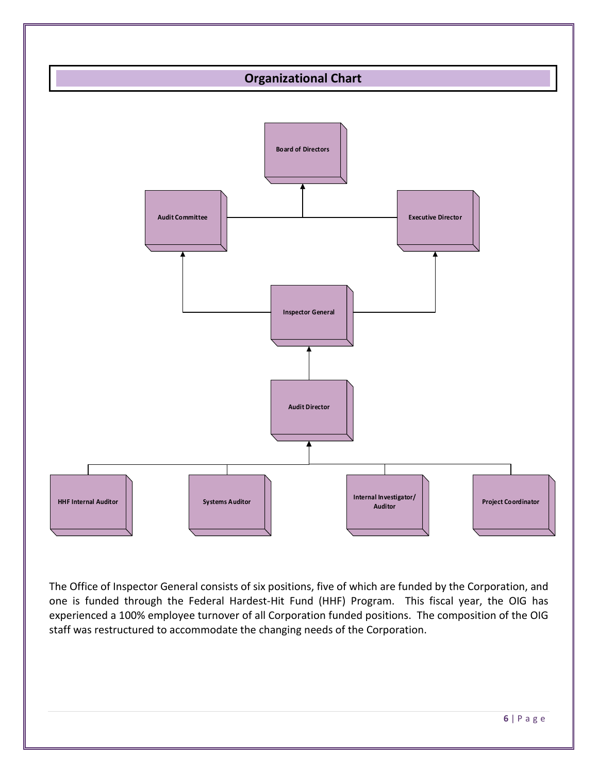

The Office of Inspector General consists of six positions, five of which are funded by the Corporation, and one is funded through the Federal Hardest-Hit Fund (HHF) Program. This fiscal year, the OIG has experienced a 100% employee turnover of all Corporation funded positions. The composition of the OIG staff was restructured to accommodate the changing needs of the Corporation.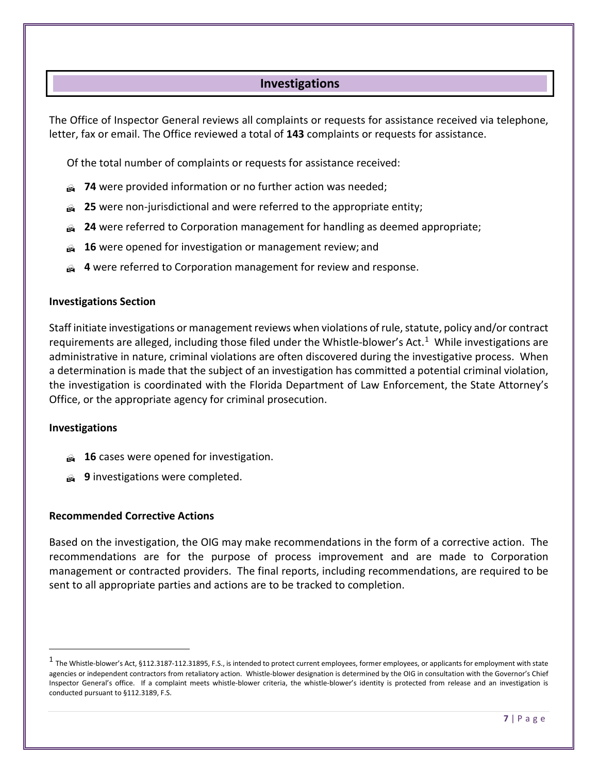## **Investigations**

The Office of Inspector General reviews all complaints or requests for assistance received via telephone, letter, fax or email. The Office reviewed a total of **143** complaints or requests for assistance.

Of the total number of complaints or requests for assistance received:

- **74** were provided information or no further action was needed;
- **25** were non-jurisdictional and were referred to the appropriate entity;
- **24** were referred to Corporation management for handling as deemed appropriate;
- **16** were opened for investigation or management review; and
- **4** were referred to Corporation management for review and response.

#### **Investigations Section**

Staff initiate investigations or management reviews when violations of rule, statute, policy and/or contract requirements are alleged, including those filed under the Whistle-blower's Act.[1](#page-7-0) While investigations are administrative in nature, criminal violations are often discovered during the investigative process. When a determination is made that the subject of an investigation has committed a potential criminal violation, the investigation is coordinated with the Florida Department of Law Enforcement, the State Attorney's Office, or the appropriate agency for criminal prosecution.

#### **Investigations**

 $\overline{a}$ 

- **16** cases were opened for investigation.
- **9** investigations were completed.

#### **Recommended Corrective Actions**

Based on the investigation, the OIG may make recommendations in the form of a corrective action. The recommendations are for the purpose of process improvement and are made to Corporation management or contracted providers. The final reports, including recommendations, are required to be sent to all appropriate parties and actions are to be tracked to completion.

<span id="page-7-0"></span> $1$  The Whistle-blower's Act, §112.3187-112.31895, F.S., is intended to protect current employees, former employees, or applicants for employment with state agencies or independent contractors from retaliatory action. Whistle-blower designation is determined by the OIG in consultation with the Governor's Chief Inspector General's office. If a complaint meets whistle-blower criteria, the whistle-blower's identity is protected from release and an investigation is conducted pursuant to §112.3189, F.S.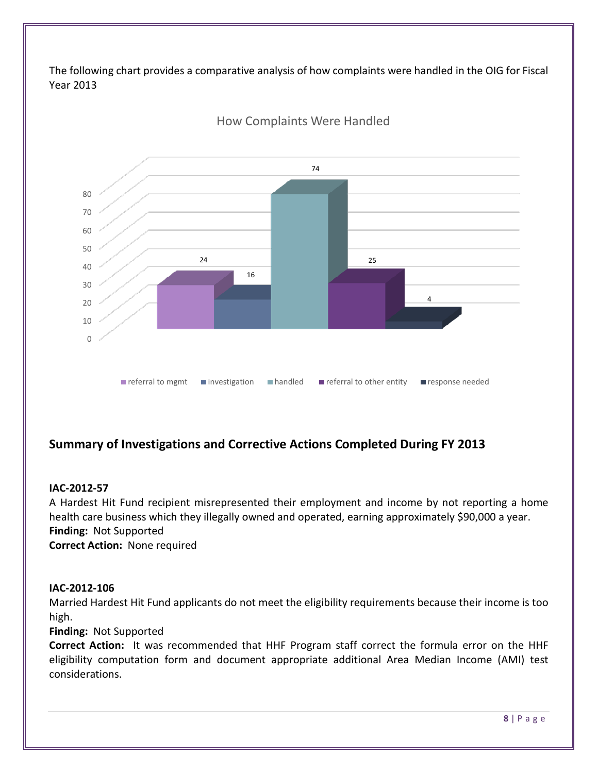The following chart provides a comparative analysis of how complaints were handled in the OIG for Fiscal Year 2013



## **Summary of Investigations and Corrective Actions Completed During FY 2013**

#### **IAC-2012-57**

A Hardest Hit Fund recipient misrepresented their employment and income by not reporting a home health care business which they illegally owned and operated, earning approximately \$90,000 a year. **Finding:** Not Supported **Correct Action:** None required

#### **IAC-2012-106**

Married Hardest Hit Fund applicants do not meet the eligibility requirements because their income is too high.

#### **Finding:** Not Supported

**Correct Action:** It was recommended that HHF Program staff correct the formula error on the HHF eligibility computation form and document appropriate additional Area Median Income (AMI) test considerations.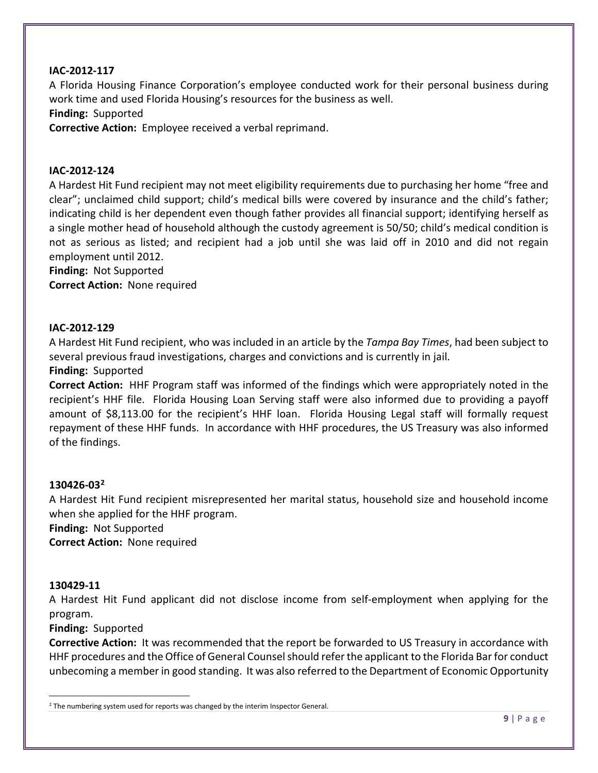#### **IAC-2012-117**

A Florida Housing Finance Corporation's employee conducted work for their personal business during work time and used Florida Housing's resources for the business as well.

**Finding:** Supported

**Corrective Action:** Employee received a verbal reprimand.

#### **IAC-2012-124**

A Hardest Hit Fund recipient may not meet eligibility requirements due to purchasing her home "free and clear"; unclaimed child support; child's medical bills were covered by insurance and the child's father; indicating child is her dependent even though father provides all financial support; identifying herself as a single mother head of household although the custody agreement is 50/50; child's medical condition is not as serious as listed; and recipient had a job until she was laid off in 2010 and did not regain employment until 2012.

**Finding:** Not Supported

**Correct Action:** None required

#### **IAC-2012-129**

A Hardest Hit Fund recipient, who was included in an article by the *Tampa Bay Times*, had been subject to several previous fraud investigations, charges and convictions and is currently in jail.

#### **Finding:** Supported

**Correct Action:** HHF Program staff was informed of the findings which were appropriately noted in the recipient's HHF file. Florida Housing Loan Serving staff were also informed due to providing a payoff amount of \$8,113.00 for the recipient's HHF loan. Florida Housing Legal staff will formally request repayment of these HHF funds. In accordance with HHF procedures, the US Treasury was also informed of the findings.

#### **130426-03[2](#page-9-0)**

A Hardest Hit Fund recipient misrepresented her marital status, household size and household income when she applied for the HHF program.

**Finding:** Not Supported **Correct Action:** None required

#### **130429-11**

 $\overline{a}$ 

A Hardest Hit Fund applicant did not disclose income from self-employment when applying for the program.

#### **Finding:** Supported

**Corrective Action:** It was recommended that the report be forwarded to US Treasury in accordance with HHF procedures and the Office of General Counsel should refer the applicant to the Florida Bar for conduct unbecoming a member in good standing. It was also referred to the Department of Economic Opportunity

<span id="page-9-0"></span><sup>&</sup>lt;sup>2</sup> The numbering system used for reports was changed by the interim Inspector General.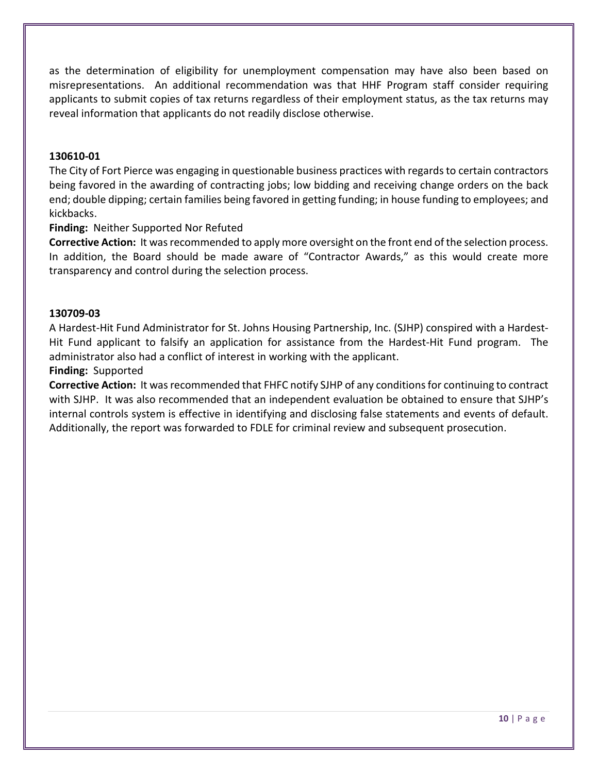as the determination of eligibility for unemployment compensation may have also been based on misrepresentations. An additional recommendation was that HHF Program staff consider requiring applicants to submit copies of tax returns regardless of their employment status, as the tax returns may reveal information that applicants do not readily disclose otherwise.

#### **130610-01**

The City of Fort Pierce was engaging in questionable business practices with regards to certain contractors being favored in the awarding of contracting jobs; low bidding and receiving change orders on the back end; double dipping; certain families being favored in getting funding; in house funding to employees; and kickbacks.

#### **Finding:** Neither Supported Nor Refuted

Corrective Action: It was recommended to apply more oversight on the front end of the selection process. In addition, the Board should be made aware of "Contractor Awards," as this would create more transparency and control during the selection process.

#### **130709-03**

A Hardest-Hit Fund Administrator for St. Johns Housing Partnership, Inc. (SJHP) conspired with a Hardest-Hit Fund applicant to falsify an application for assistance from the Hardest-Hit Fund program. The administrator also had a conflict of interest in working with the applicant.

#### **Finding:** Supported

**Corrective Action:** It was recommended that FHFC notify SJHP of any conditions for continuing to contract with SJHP. It was also recommended that an independent evaluation be obtained to ensure that SJHP's internal controls system is effective in identifying and disclosing false statements and events of default. Additionally, the report was forwarded to FDLE for criminal review and subsequent prosecution.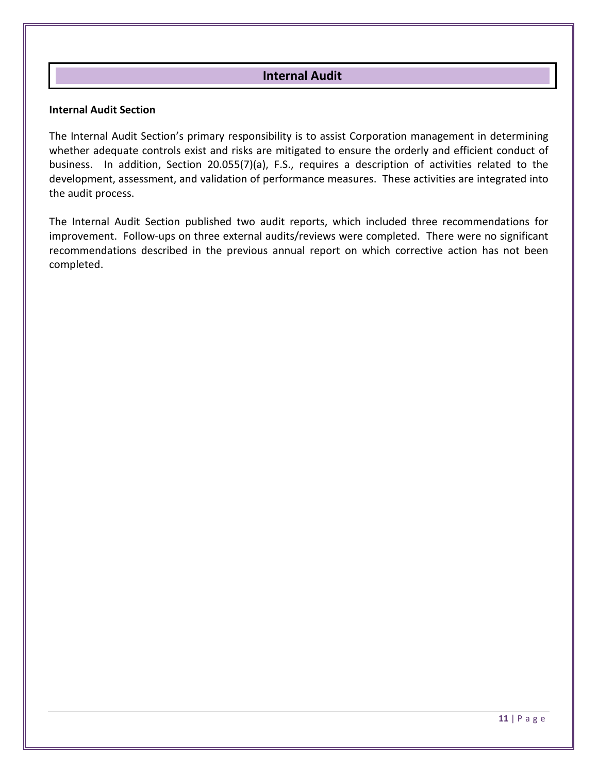## **Internal Audit**

#### **Internal Audit Section**

The Internal Audit Section's primary responsibility is to assist Corporation management in determining whether adequate controls exist and risks are mitigated to ensure the orderly and efficient conduct of business. In addition, Section 20.055(7)(a), F.S., requires a description of activities related to the development, assessment, and validation of performance measures. These activities are integrated into the audit process.

The Internal Audit Section published two audit reports, which included three recommendations for improvement. Follow-ups on three external audits/reviews were completed. There were no significant recommendations described in the previous annual report on which corrective action has not been completed.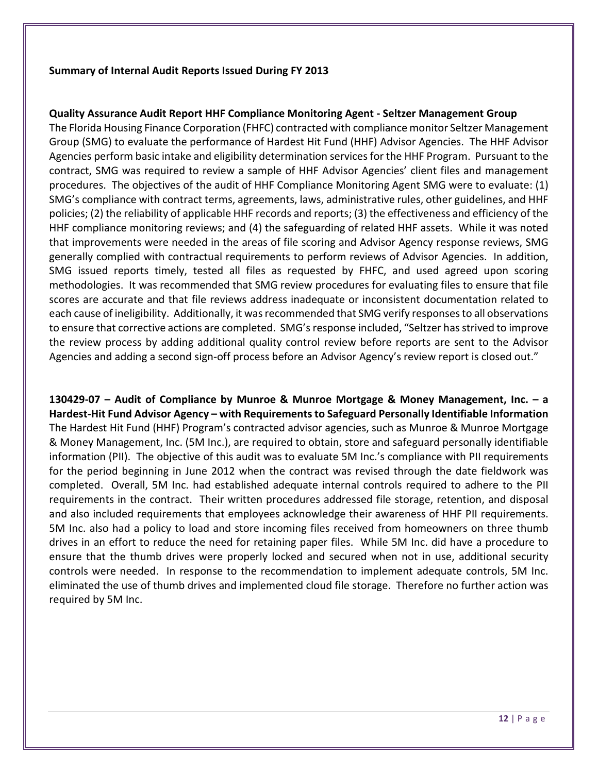#### **Summary of Internal Audit Reports Issued During FY 2013**

#### **Quality Assurance Audit Report HHF Compliance Monitoring Agent - Seltzer Management Group**

The Florida Housing Finance Corporation (FHFC) contracted with compliance monitor Seltzer Management Group (SMG) to evaluate the performance of Hardest Hit Fund (HHF) Advisor Agencies. The HHF Advisor Agencies perform basic intake and eligibility determination services for the HHF Program. Pursuant to the contract, SMG was required to review a sample of HHF Advisor Agencies' client files and management procedures. The objectives of the audit of HHF Compliance Monitoring Agent SMG were to evaluate: (1) SMG's compliance with contract terms, agreements, laws, administrative rules, other guidelines, and HHF policies; (2) the reliability of applicable HHF records and reports; (3) the effectiveness and efficiency of the HHF compliance monitoring reviews; and (4) the safeguarding of related HHF assets. While it was noted that improvements were needed in the areas of file scoring and Advisor Agency response reviews, SMG generally complied with contractual requirements to perform reviews of Advisor Agencies. In addition, SMG issued reports timely, tested all files as requested by FHFC, and used agreed upon scoring methodologies. It was recommended that SMG review procedures for evaluating files to ensure that file scores are accurate and that file reviews address inadequate or inconsistent documentation related to each cause of ineligibility. Additionally, it was recommended that SMG verify responses to all observations to ensure that corrective actions are completed. SMG's response included, "Seltzer has strived to improve the review process by adding additional quality control review before reports are sent to the Advisor Agencies and adding a second sign-off process before an Advisor Agency's review report is closed out."

**130429-07 – Audit of Compliance by Munroe & Munroe Mortgage & Money Management, Inc. – a Hardest-Hit Fund Advisor Agency – with Requirements to Safeguard Personally Identifiable Information** The Hardest Hit Fund (HHF) Program's contracted advisor agencies, such as Munroe & Munroe Mortgage & Money Management, Inc. (5M Inc.), are required to obtain, store and safeguard personally identifiable information (PII). The objective of this audit was to evaluate 5M Inc.'s compliance with PII requirements for the period beginning in June 2012 when the contract was revised through the date fieldwork was completed. Overall, 5M Inc. had established adequate internal controls required to adhere to the PII requirements in the contract. Their written procedures addressed file storage, retention, and disposal and also included requirements that employees acknowledge their awareness of HHF PII requirements. 5M Inc. also had a policy to load and store incoming files received from homeowners on three thumb drives in an effort to reduce the need for retaining paper files. While 5M Inc. did have a procedure to ensure that the thumb drives were properly locked and secured when not in use, additional security controls were needed. In response to the recommendation to implement adequate controls, 5M Inc. eliminated the use of thumb drives and implemented cloud file storage. Therefore no further action was required by 5M Inc.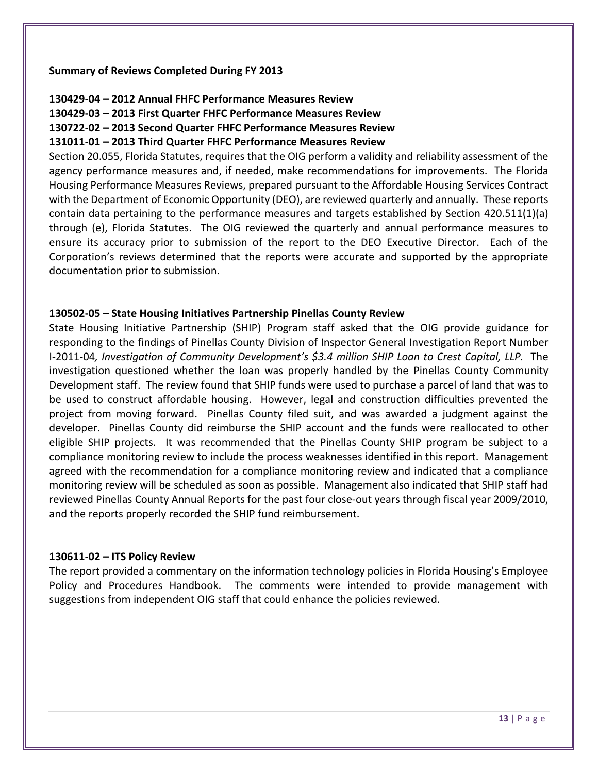#### **Summary of Reviews Completed During FY 2013**

#### **130429-04 – 2012 Annual FHFC Performance Measures Review**

**130429-03 – 2013 First Quarter FHFC Performance Measures Review**

**130722-02 – 2013 Second Quarter FHFC Performance Measures Review**

#### **131011-01 – 2013 Third Quarter FHFC Performance Measures Review**

Section 20.055, Florida Statutes, requires that the OIG perform a validity and reliability assessment of the agency performance measures and, if needed, make recommendations for improvements. The Florida Housing Performance Measures Reviews, prepared pursuant to the Affordable Housing Services Contract with the Department of Economic Opportunity (DEO), are reviewed quarterly and annually. These reports contain data pertaining to the performance measures and targets established by Section 420.511(1)(a) through (e), Florida Statutes. The OIG reviewed the quarterly and annual performance measures to ensure its accuracy prior to submission of the report to the DEO Executive Director. Each of the Corporation's reviews determined that the reports were accurate and supported by the appropriate documentation prior to submission.

#### **130502-05 – State Housing Initiatives Partnership Pinellas County Review**

State Housing Initiative Partnership (SHIP) Program staff asked that the OIG provide guidance for responding to the findings of Pinellas County Division of Inspector General Investigation Report Number I-2011-04*, Investigation of Community Development's \$3.4 million SHIP Loan to Crest Capital, LLP.* The investigation questioned whether the loan was properly handled by the Pinellas County Community Development staff. The review found that SHIP funds were used to purchase a parcel of land that was to be used to construct affordable housing. However, legal and construction difficulties prevented the project from moving forward. Pinellas County filed suit, and was awarded a judgment against the developer. Pinellas County did reimburse the SHIP account and the funds were reallocated to other eligible SHIP projects. It was recommended that the Pinellas County SHIP program be subject to a compliance monitoring review to include the process weaknesses identified in this report. Management agreed with the recommendation for a compliance monitoring review and indicated that a compliance monitoring review will be scheduled as soon as possible. Management also indicated that SHIP staff had reviewed Pinellas County Annual Reports for the past four close-out years through fiscal year 2009/2010, and the reports properly recorded the SHIP fund reimbursement.

#### **130611-02 – ITS Policy Review**

The report provided a commentary on the information technology policies in Florida Housing's Employee Policy and Procedures Handbook. The comments were intended to provide management with suggestions from independent OIG staff that could enhance the policies reviewed.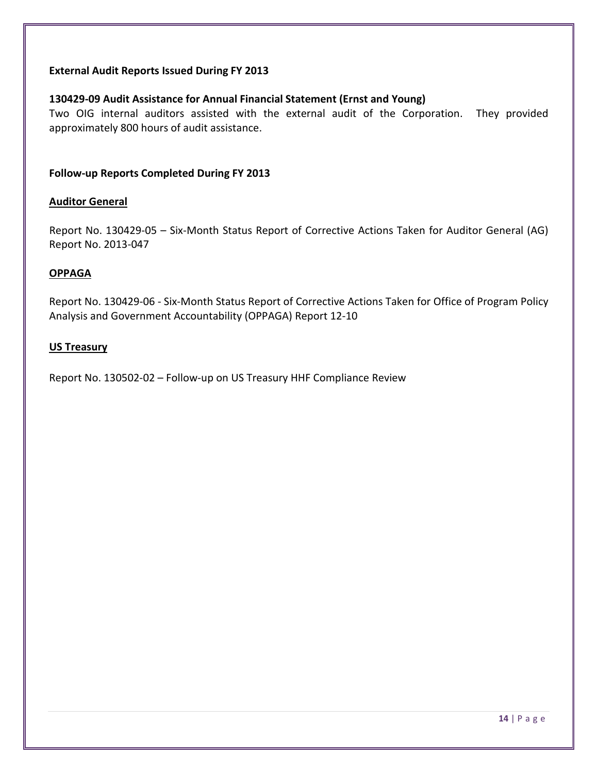#### **External Audit Reports Issued During FY 2013**

#### **130429-09 Audit Assistance for Annual Financial Statement (Ernst and Young)**

Two OIG internal auditors assisted with the external audit of the Corporation. They provided approximately 800 hours of audit assistance.

#### **Follow-up Reports Completed During FY 2013**

#### **Auditor General**

Report No. 130429-05 – Six-Month Status Report of Corrective Actions Taken for Auditor General (AG) Report No. 2013-047

#### **OPPAGA**

Report No. 130429-06 - Six-Month Status Report of Corrective Actions Taken for Office of Program Policy Analysis and Government Accountability (OPPAGA) Report 12-10

#### **US Treasury**

Report No. 130502-02 – Follow-up on US Treasury HHF Compliance Review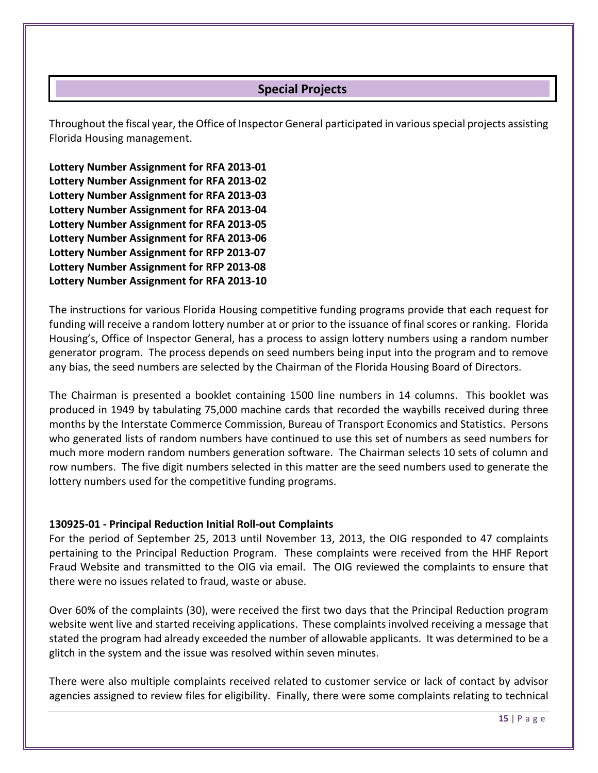## **Special Projects**

Throughout the fiscal year, the Office of Inspector General participated in various special projects assisting Florida Housing management.

**Lottery Number Assignment for RFA 2013-01 Lottery Number Assignment for RFA 2013-02 Lottery Number Assignment for RFA 2013-03 Lottery Number Assignment for RFA 2013-04 Lottery Number Assignment for RFA 2013-05 Lottery Number Assignment for RFA 2013-06 Lottery Number Assignment for RFP 2013-07 Lottery Number Assignment for RFP 2013-08 Lottery Number Assignment for RFA 2013-10**

The instructions for various Florida Housing competitive funding programs provide that each request for funding will receive a random lottery number at or prior to the issuance of final scores or ranking. Florida Housing's, Office of Inspector General, has a process to assign lottery numbers using a random number generator program. The process depends on seed numbers being input into the program and to remove any bias, the seed numbers are selected by the Chairman of the Florida Housing Board of Directors.

The Chairman is presented a booklet containing 1500 line numbers in 14 columns. This booklet was produced in 1949 by tabulating 75,000 machine cards that recorded the waybills received during three months by the Interstate Commerce Commission, Bureau of Transport Economics and Statistics. Persons who generated lists of random numbers have continued to use this set of numbers as seed numbers for much more modern random numbers generation software. The Chairman selects 10 sets of column and row numbers. The five digit numbers selected in this matter are the seed numbers used to generate the lottery numbers used for the competitive funding programs.

#### **130925-01 - Principal Reduction Initial Roll-out Complaints**

For the period of September 25, 2013 until November 13, 2013, the OIG responded to 47 complaints pertaining to the Principal Reduction Program. These complaints were received from the HHF Report Fraud Website and transmitted to the OIG via email. The OIG reviewed the complaints to ensure that there were no issues related to fraud, waste or abuse.

Over 60% of the complaints (30), were received the first two days that the Principal Reduction program website went live and started receiving applications. These complaints involved receiving a message that stated the program had already exceeded the number of allowable applicants. It was determined to be a glitch in the system and the issue was resolved within seven minutes.

There were also multiple complaints received related to customer service or lack of contact by advisor agencies assigned to review files for eligibility. Finally, there were some complaints relating to technical